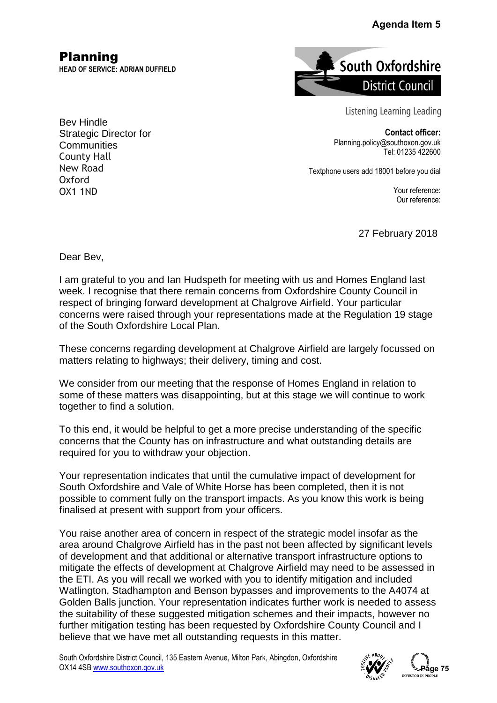## **Agenda Item 5**

Planning **HEAD OF SERVICE: ADRIAN DUFFIELD**



Listening Learning Leading

**Contact officer:** Planning.policy@southoxon.gov.uk Tel: 01235 422600

Textphone users add 18001 before you dial

Your reference: Our reference:

27 February 2018

Dear Bev,

I am grateful to you and Ian Hudspeth for meeting with us and Homes England last week. I recognise that there remain concerns from Oxfordshire County Council in respect of bringing forward development at Chalgrove Airfield. Your particular concerns were raised through your representations made at the Regulation 19 stage of the South Oxfordshire Local Plan.

These concerns regarding development at Chalgrove Airfield are largely focussed on matters relating to highways; their delivery, timing and cost.

We consider from our meeting that the response of Homes England in relation to some of these matters was disappointing, but at this stage we will continue to work together to find a solution.

To this end, it would be helpful to get a more precise understanding of the specific concerns that the County has on infrastructure and what outstanding details are required for you to withdraw your objection.

Your representation indicates that until the cumulative impact of development for South Oxfordshire and Vale of White Horse has been completed, then it is not possible to comment fully on the transport impacts. As you know this work is being finalised at present with support from your officers.

You raise another area of concern in respect of the strategic model insofar as the area around Chalgrove Airfield has in the past not been affected by significant levels of development and that additional or alternative transport infrastructure options to mitigate the effects of development at Chalgrove Airfield may need to be assessed in the ETI. As you will recall we worked with you to identify mitigation and included Watlington, Stadhampton and Benson bypasses and improvements to the A4074 at Golden Balls junction. Your representation indicates further work is needed to assess the suitability of these suggested mitigation schemes and their impacts, however no further mitigation testing has been requested by Oxfordshire County Council and I believe that we have met all outstanding requests in this matter. **Agenda Item 5**<br> **Pagenda Item 5**<br> **Page 12**<br> **Page 12**<br> **Page 12**<br> **Page 122800**<br> **Page 122800**<br> **Page 132800**<br> **Page 132800**<br> **Page 132800**<br> **Page 1338422600**<br> **Page 133422600**<br> **Page 1349**<br> **Page 1349**<br> **Page 1349**<br> **Pa** 

South Oxfordshire District Council, 135 Eastern Avenue, Milton Park, Abingdon, Oxfordshire OX14 4SB [www.southoxon.gov.uk](http://www.southoxon.gov.uk/)



ీ--Paae 75

Bev Hindle Strategic Director for **Communities** County Hall New Road Oxford OX1 1ND